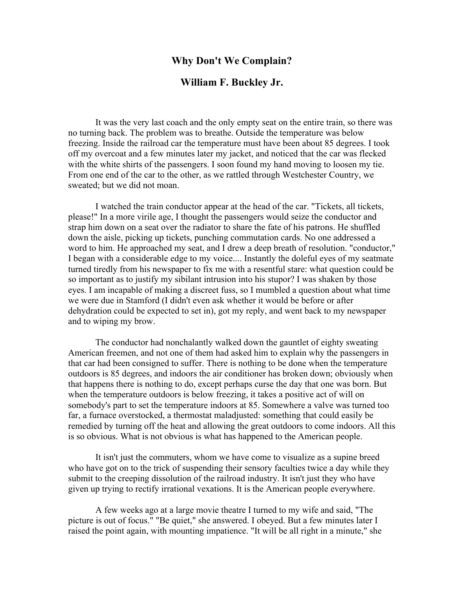## **Why Don't We Complain?**

## **William F. Buckley Jr.**

It was the very last coach and the only empty seat on the entire train, so there was no turning back. The problem was to breathe. Outside the temperature was below freezing. Inside the railroad car the temperature must have been about 85 degrees. I took off my overcoat and a few minutes later my jacket, and noticed that the car was flecked with the white shirts of the passengers. I soon found my hand moving to loosen my tie. From one end of the car to the other, as we rattled through Westchester Country, we sweated; but we did not moan.

I watched the train conductor appear at the head of the car. "Tickets, all tickets, please!" In a more virile age, I thought the passengers would seize the conductor and strap him down on a seat over the radiator to share the fate of his patrons. He shuffled down the aisle, picking up tickets, punching commutation cards. No one addressed a word to him. He approached my seat, and I drew a deep breath of resolution. "conductor," I began with a considerable edge to my voice.... Instantly the doleful eyes of my seatmate turned tiredly from his newspaper to fix me with a resentful stare: what question could be so important as to justify my sibilant intrusion into his stupor? I was shaken by those eyes. I am incapable of making a discreet fuss, so I mumbled a question about what time we were due in Stamford (I didn't even ask whether it would be before or after dehydration could be expected to set in), got my reply, and went back to my newspaper and to wiping my brow.

The conductor had nonchalantly walked down the gauntlet of eighty sweating American freemen, and not one of them had asked him to explain why the passengers in that car had been consigned to suffer. There is nothing to be done when the temperature outdoors is 85 degrees, and indoors the air conditioner has broken down; obviously when that happens there is nothing to do, except perhaps curse the day that one was born. But when the temperature outdoors is below freezing, it takes a positive act of will on somebody's part to set the temperature indoors at 85. Somewhere a valve was turned too far, a furnace overstocked, a thermostat maladjusted: something that could easily be remedied by turning off the heat and allowing the great outdoors to come indoors. All this is so obvious. What is not obvious is what has happened to the American people.

It isn't just the commuters, whom we have come to visualize as a supine breed who have got on to the trick of suspending their sensory faculties twice a day while they submit to the creeping dissolution of the railroad industry. It isn't just they who have given up trying to rectify irrational vexations. It is the American people everywhere.

A few weeks ago at a large movie theatre I turned to my wife and said, "The picture is out of focus." "Be quiet," she answered. I obeyed. But a few minutes later I raised the point again, with mounting impatience. "It will be all right in a minute," she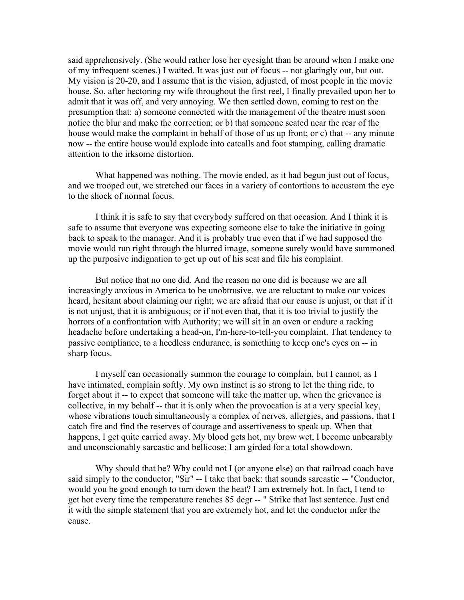said apprehensively. (She would rather lose her eyesight than be around when I make one of my infrequent scenes.) I waited. It was just out of focus -- not glaringly out, but out. My vision is 20-20, and I assume that is the vision, adjusted, of most people in the movie house. So, after hectoring my wife throughout the first reel, I finally prevailed upon her to admit that it was off, and very annoying. We then settled down, coming to rest on the presumption that: a) someone connected with the management of the theatre must soon notice the blur and make the correction; or b) that someone seated near the rear of the house would make the complaint in behalf of those of us up front; or c) that -- any minute now -- the entire house would explode into catcalls and foot stamping, calling dramatic attention to the irksome distortion.

What happened was nothing. The movie ended, as it had begun just out of focus, and we trooped out, we stretched our faces in a variety of contortions to accustom the eye to the shock of normal focus.

I think it is safe to say that everybody suffered on that occasion. And I think it is safe to assume that everyone was expecting someone else to take the initiative in going back to speak to the manager. And it is probably true even that if we had supposed the movie would run right through the blurred image, someone surely would have summoned up the purposive indignation to get up out of his seat and file his complaint.

But notice that no one did. And the reason no one did is because we are all increasingly anxious in America to be unobtrusive, we are reluctant to make our voices heard, hesitant about claiming our right; we are afraid that our cause is unjust, or that if it is not unjust, that it is ambiguous; or if not even that, that it is too trivial to justify the horrors of a confrontation with Authority; we will sit in an oven or endure a racking headache before undertaking a head-on, I'm-here-to-tell-you complaint. That tendency to passive compliance, to a heedless endurance, is something to keep one's eyes on -- in sharp focus.

I myself can occasionally summon the courage to complain, but I cannot, as I have intimated, complain softly. My own instinct is so strong to let the thing ride, to forget about it -- to expect that someone will take the matter up, when the grievance is collective, in my behalf -- that it is only when the provocation is at a very special key, whose vibrations touch simultaneously a complex of nerves, allergies, and passions, that I catch fire and find the reserves of courage and assertiveness to speak up. When that happens, I get quite carried away. My blood gets hot, my brow wet, I become unbearably and unconscionably sarcastic and bellicose; I am girded for a total showdown.

Why should that be? Why could not I (or anyone else) on that railroad coach have said simply to the conductor, "Sir" -- I take that back: that sounds sarcastic -- "Conductor, would you be good enough to turn down the heat? I am extremely hot. In fact, I tend to get hot every time the temperature reaches 85 degr -- " Strike that last sentence. Just end it with the simple statement that you are extremely hot, and let the conductor infer the cause.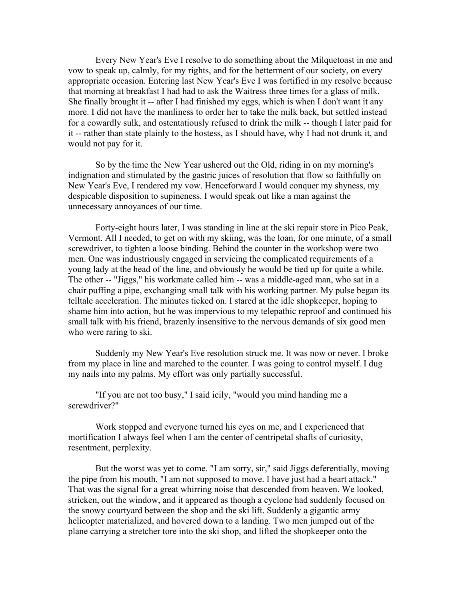Every New Year's Eve I resolve to do something about the Milquetoast in me and vow to speak up, calmly, for my rights, and for the betterment of our society, on every appropriate occasion. Entering last New Year's Eve I was fortified in my resolve because that morning at breakfast I had had to ask the Waitress three times for a glass of milk. She finally brought it -- after I had finished my eggs, which is when I don't want it any more. I did not have the manliness to order her to take the milk back, but settled instead for a cowardly sulk, and ostentatiously refused to drink the milk -- though I later paid for it -- rather than state plainly to the hostess, as I should have, why I had not drunk it, and would not pay for it.

So by the time the New Year ushered out the Old, riding in on my morning's indignation and stimulated by the gastric juices of resolution that flow so faithfully on New Year's Eve, I rendered my vow. Henceforward I would conquer my shyness, my despicable disposition to supineness. I would speak out like a man against the unnecessary annoyances of our time.

Forty-eight hours later, I was standing in line at the ski repair store in Pico Peak, Vermont. All I needed, to get on with my skiing, was the loan, for one minute, of a small screwdriver, to tighten a loose binding. Behind the counter in the workshop were two men. One was industriously engaged in servicing the complicated requirements of a young lady at the head of the line, and obviously he would be tied up for quite a while. The other -- "Jiggs," his workmate called him -- was a middle-aged man, who sat in a chair puffing a pipe, exchanging small talk with his working partner. My pulse began its telltale acceleration. The minutes ticked on. I stared at the idle shopkeeper, hoping to shame him into action, but he was impervious to my telepathic reproof and continued his small talk with his friend, brazenly insensitive to the nervous demands of six good men who were raring to ski.

Suddenly my New Year's Eve resolution struck me. It was now or never. I broke from my place in line and marched to the counter. I was going to control myself. I dug my nails into my palms. My effort was only partially successful.

"If you are not too busy," I said icily, "would you mind handing me a screwdriver?"

Work stopped and everyone turned his eyes on me, and I experienced that mortification I always feel when I am the center of centripetal shafts of curiosity, resentment, perplexity.

But the worst was yet to come. "I am sorry, sir," said Jiggs deferentially, moving the pipe from his mouth. "I am not supposed to move. I have just had a heart attack." That was the signal for a great whirring noise that descended from heaven. We looked, stricken, out the window, and it appeared as though a cyclone had suddenly focused on the snowy courtyard between the shop and the ski lift. Suddenly a gigantic army helicopter materialized, and hovered down to a landing. Two men jumped out of the plane carrying a stretcher tore into the ski shop, and lifted the shopkeeper onto the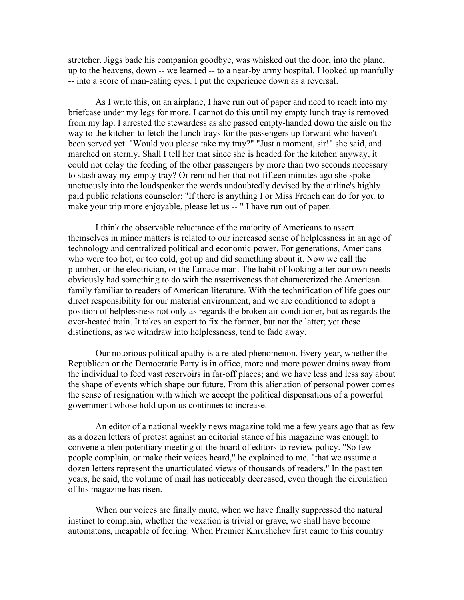stretcher. Jiggs bade his companion goodbye, was whisked out the door, into the plane, up to the heavens, down -- we learned -- to a near-by army hospital. I looked up manfully -- into a score of man-eating eyes. I put the experience down as a reversal.

As I write this, on an airplane, I have run out of paper and need to reach into my briefcase under my legs for more. I cannot do this until my empty lunch tray is removed from my lap. I arrested the stewardess as she passed empty-handed down the aisle on the way to the kitchen to fetch the lunch trays for the passengers up forward who haven't been served yet. "Would you please take my tray?" "Just a moment, sir!" she said, and marched on sternly. Shall I tell her that since she is headed for the kitchen anyway, it could not delay the feeding of the other passengers by more than two seconds necessary to stash away my empty tray? Or remind her that not fifteen minutes ago she spoke unctuously into the loudspeaker the words undoubtedly devised by the airline's highly paid public relations counselor: "If there is anything I or Miss French can do for you to make your trip more enjoyable, please let us -- " I have run out of paper.

I think the observable reluctance of the majority of Americans to assert themselves in minor matters is related to our increased sense of helplessness in an age of technology and centralized political and economic power. For generations, Americans who were too hot, or too cold, got up and did something about it. Now we call the plumber, or the electrician, or the furnace man. The habit of looking after our own needs obviously had something to do with the assertiveness that characterized the American family familiar to readers of American literature. With the technification of life goes our direct responsibility for our material environment, and we are conditioned to adopt a position of helplessness not only as regards the broken air conditioner, but as regards the over-heated train. It takes an expert to fix the former, but not the latter; yet these distinctions, as we withdraw into helplessness, tend to fade away.

Our notorious political apathy is a related phenomenon. Every year, whether the Republican or the Democratic Party is in office, more and more power drains away from the individual to feed vast reservoirs in far-off places; and we have less and less say about the shape of events which shape our future. From this alienation of personal power comes the sense of resignation with which we accept the political dispensations of a powerful government whose hold upon us continues to increase.

An editor of a national weekly news magazine told me a few years ago that as few as a dozen letters of protest against an editorial stance of his magazine was enough to convene a plenipotentiary meeting of the board of editors to review policy. "So few people complain, or make their voices heard," he explained to me, "that we assume a dozen letters represent the unarticulated views of thousands of readers." In the past ten years, he said, the volume of mail has noticeably decreased, even though the circulation of his magazine has risen.

When our voices are finally mute, when we have finally suppressed the natural instinct to complain, whether the vexation is trivial or grave, we shall have become automatons, incapable of feeling. When Premier Khrushchev first came to this country